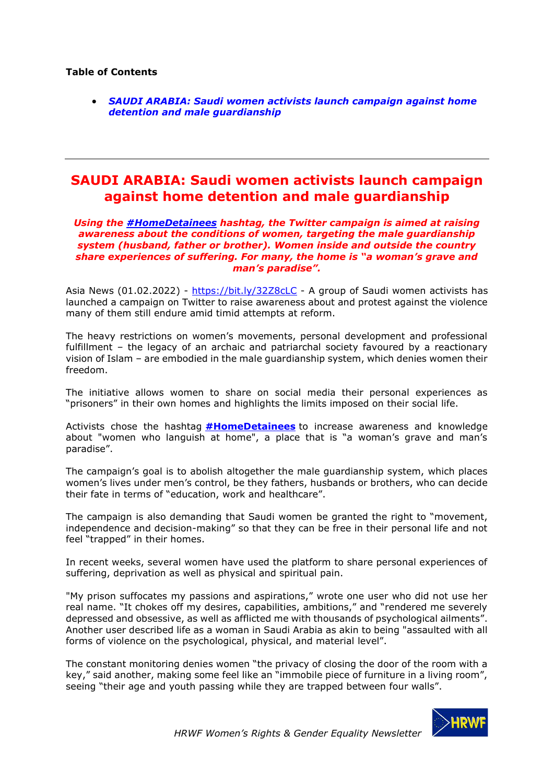## **Table of Contents**

• *[SAUDI ARABIA: Saudi women activists launch campaign against home](#page-0-0)  [detention and male guardianship](#page-0-0)*

## <span id="page-0-0"></span>**SAUDI ARABIA: Saudi women activists launch campaign against home detention and male guardianship**

*Using the [#HomeDetainees](https://twitter.com/hashtag/%D9%85%D8%B9%D8%AA%D9%82%D9%84%D8%A7%D8%AA_%D8%A7%D9%84%D9%85%D9%86%D8%A7%D8%B2%D9%84?src=hashtag_click) hashtag, the Twitter campaign is aimed at raising awareness about the conditions of women, targeting the male guardianship system (husband, father or brother). Women inside and outside the country share experiences of suffering. For many, the home is "a woman's grave and man's paradise".*

Asia News (01.02.2022) - <https://bit.ly/32Z8cLC> - A group of Saudi women activists has launched a campaign on Twitter to raise awareness about and protest against the violence many of them still endure amid timid attempts at reform.

The heavy restrictions on women's movements, personal development and professional fulfillment – the legacy of an archaic and patriarchal society favoured by a reactionary vision of Islam – are embodied in the male guardianship system, which denies women their freedom.

The initiative allows women to share on social media their personal experiences as "prisoners" in their own homes and highlights the limits imposed on their social life.

Activists chose the hashtag **[#HomeDetainees](https://twitter.com/hashtag/%D9%85%D8%B9%D8%AA%D9%82%D9%84%D8%A7%D8%AA_%D8%A7%D9%84%D9%85%D9%86%D8%A7%D8%B2%D9%84?src=hashtag_click)** to increase awareness and knowledge about "women who languish at home", a place that is "a woman's grave and man's paradise".

The campaign's goal is to abolish altogether the male guardianship system, which places women's lives under men's control, be they fathers, husbands or brothers, who can decide their fate in terms of "education, work and healthcare".

The campaign is also demanding that Saudi women be granted the right to "movement, independence and decision-making" so that they can be free in their personal life and not feel "trapped" in their homes.

In recent weeks, several women have used the platform to share personal experiences of suffering, deprivation as well as physical and spiritual pain.

"My prison suffocates my passions and aspirations," wrote one user who did not use her real name. "It chokes off my desires, capabilities, ambitions," and "rendered me severely depressed and obsessive, as well as afflicted me with thousands of psychological ailments". Another user described life as a woman in Saudi Arabia as akin to being "assaulted with all forms of violence on the psychological, physical, and material level".

The constant monitoring denies women "the privacy of closing the door of the room with a key," said another, making some feel like an "immobile piece of furniture in a living room", seeing "their age and youth passing while they are trapped between four walls".